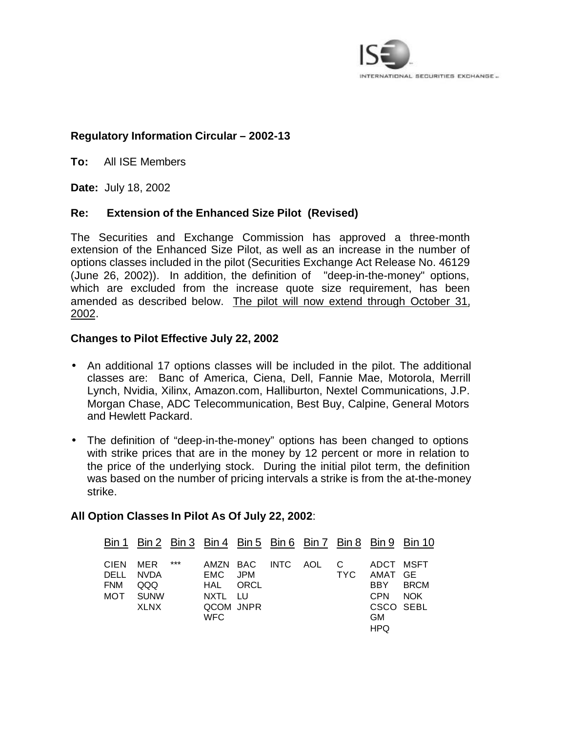

# **Regulatory Information Circular – 2002-13**

**To:** All ISE Members

**Date:** July 18, 2002

## **Re: Extension of the Enhanced Size Pilot (Revised)**

The Securities and Exchange Commission has approved a three-month extension of the Enhanced Size Pilot, as well as an increase in the number of options classes included in the pilot (Securities Exchange Act Release No. 46129 (June 26, 2002)). In addition, the definition of "deep-in-the-money" options, which are excluded from the increase quote size requirement, has been amended as described below. The pilot will now extend through October 31, 2002.

## **Changes to Pilot Effective July 22, 2002**

- An additional 17 options classes will be included in the pilot. The additional classes are: Banc of America, Ciena, Dell, Fannie Mae, Motorola, Merrill Lynch, Nvidia, Xilinx, Amazon.com, Halliburton, Nextel Communications, J.P. Morgan Chase, ADC Telecommunication, Best Buy, Calpine, General Motors and Hewlett Packard.
- The definition of "deep-in-the-money" options has been changed to options with strike prices that are in the money by 12 percent or more in relation to the price of the underlying stock. During the initial pilot term, the definition was based on the number of pricing intervals a strike is from the at-the-money strike.

# **All Option Classes In Pilot As Of July 22, 2002**:

|                                       |                                    |       |                                                           |                     |      |                                                                                        | Bin 1 Bin 2 Bin 3 Bin 4 Bin 5 Bin 6 Bin 7 Bin 8 Bin 9 Bin 10 |
|---------------------------------------|------------------------------------|-------|-----------------------------------------------------------|---------------------|------|----------------------------------------------------------------------------------------|--------------------------------------------------------------|
| CIEN MER<br>DELL<br><b>FNM</b><br>MOT | NVDA<br>QQQ<br><b>SUNW</b><br>XLNX | $***$ | EMC JPM<br>HAL ORCL<br>NXTL LU<br>QCOM JNPR<br><b>WFC</b> | AMZN BAC INTC AOL C | TYC. | ADCT MSFT<br>AMAT GE<br>BBY BRCM<br><b>CPN</b><br>CSCO SEBL<br><b>GM</b><br><b>HPQ</b> | <b>NOK</b>                                                   |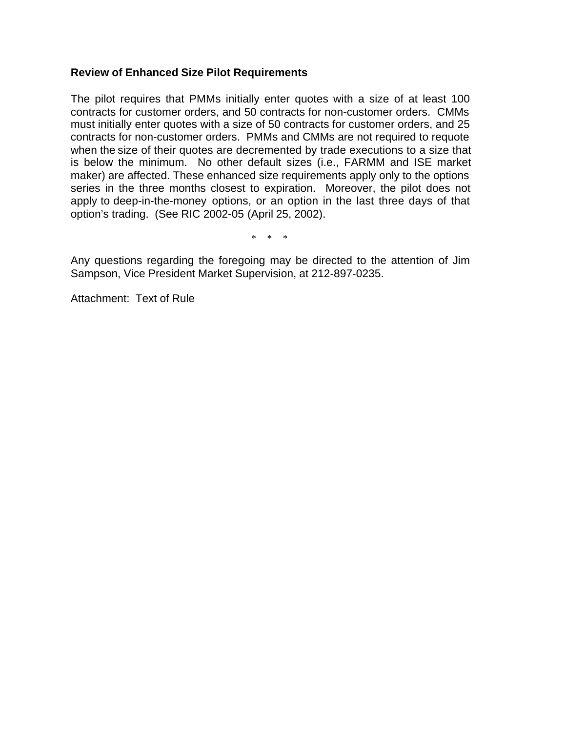# **Review of Enhanced Size Pilot Requirements**

The pilot requires that PMMs initially enter quotes with a size of at least 100 contracts for customer orders, and 50 contracts for non-customer orders. CMMs must initially enter quotes with a size of 50 contracts for customer orders, and 25 contracts for non-customer orders. PMMs and CMMs are not required to requote when the size of their quotes are decremented by trade executions to a size that is below the minimum. No other default sizes (i.e., FARMM and ISE market maker) are affected. These enhanced size requirements apply only to the options series in the three months closest to expiration. Moreover, the pilot does not apply to deep-in-the-money options, or an option in the last three days of that option's trading. (See RIC 2002-05 (April 25, 2002).

\* \* \*

Any questions regarding the foregoing may be directed to the attention of Jim Sampson, Vice President Market Supervision, at 212-897-0235.

Attachment: Text of Rule